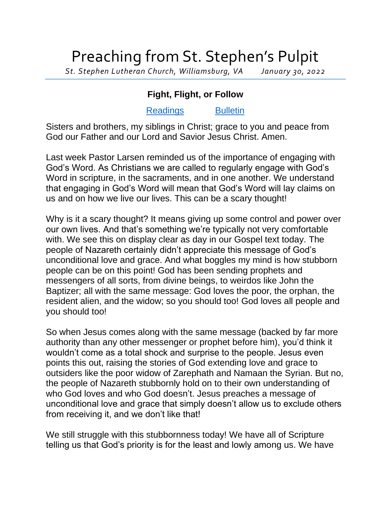## Preaching from St. Stephen's Pulpit

*St. Stephen Lutheran Church, Williamsburg, VA January 30, 2022*

## **Fight, Flight, or Follow**

## [Readings](https://lectionary.library.vanderbilt.edu/texts.php?id=105) [Bulletin](http://www.saintstephenlutheran.net/sunday-bulletins/)

Sisters and brothers, my siblings in Christ; grace to you and peace from God our Father and our Lord and Savior Jesus Christ. Amen.

Last week Pastor Larsen reminded us of the importance of engaging with God's Word. As Christians we are called to regularly engage with God's Word in scripture, in the sacraments, and in one another. We understand that engaging in God's Word will mean that God's Word will lay claims on us and on how we live our lives. This can be a scary thought!

Why is it a scary thought? It means giving up some control and power over our own lives. And that's something we're typically not very comfortable with. We see this on display clear as day in our Gospel text today. The people of Nazareth certainly didn't appreciate this message of God's unconditional love and grace. And what boggles my mind is how stubborn people can be on this point! God has been sending prophets and messengers of all sorts, from divine beings, to weirdos like John the Baptizer; all with the same message: God loves the poor, the orphan, the resident alien, and the widow; so you should too! God loves all people and you should too!

So when Jesus comes along with the same message (backed by far more authority than any other messenger or prophet before him), you'd think it wouldn't come as a total shock and surprise to the people. Jesus even points this out, raising the stories of God extending love and grace to outsiders like the poor widow of Zarephath and Namaan the Syrian. But no, the people of Nazareth stubbornly hold on to their own understanding of who God loves and who God doesn't. Jesus preaches a message of unconditional love and grace that simply doesn't allow us to exclude others from receiving it, and we don't like that!

We still struggle with this stubbornness today! We have all of Scripture telling us that God's priority is for the least and lowly among us. We have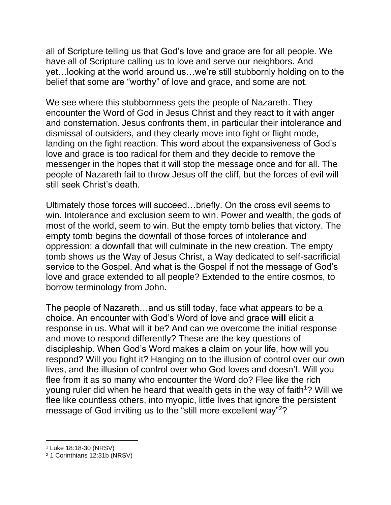all of Scripture telling us that God's love and grace are for all people. We have all of Scripture calling us to love and serve our neighbors. And yet…looking at the world around us…we're still stubbornly holding on to the belief that some are "worthy" of love and grace, and some are not.

We see where this stubbornness gets the people of Nazareth. They encounter the Word of God in Jesus Christ and they react to it with anger and consternation. Jesus confronts them, in particular their intolerance and dismissal of outsiders, and they clearly move into fight or flight mode, landing on the fight reaction. This word about the expansiveness of God's love and grace is too radical for them and they decide to remove the messenger in the hopes that it will stop the message once and for all. The people of Nazareth fail to throw Jesus off the cliff, but the forces of evil will still seek Christ's death.

Ultimately those forces will succeed…briefly. On the cross evil seems to win. Intolerance and exclusion seem to win. Power and wealth, the gods of most of the world, seem to win. But the empty tomb belies that victory. The empty tomb begins the downfall of those forces of intolerance and oppression; a downfall that will culminate in the new creation. The empty tomb shows us the Way of Jesus Christ, a Way dedicated to self-sacrificial service to the Gospel. And what is the Gospel if not the message of God's love and grace extended to all people? Extended to the entire cosmos, to borrow terminology from John.

The people of Nazareth…and us still today, face what appears to be a choice. An encounter with God's Word of love and grace **will** elicit a response in us. What will it be? And can we overcome the initial response and move to respond differently? These are the key questions of discipleship. When God's Word makes a claim on your life, how will you respond? Will you fight it? Hanging on to the illusion of control over our own lives, and the illusion of control over who God loves and doesn't. Will you flee from it as so many who encounter the Word do? Flee like the rich young ruler did when he heard that wealth gets in the way of faith<sup>1</sup>? Will we flee like countless others, into myopic, little lives that ignore the persistent message of God inviting us to the "still more excellent way"<sup>2</sup>?

<sup>1</sup> Luke 18:18-30 (NRSV)

<sup>2</sup> 1 Corinthians 12:31b (NRSV)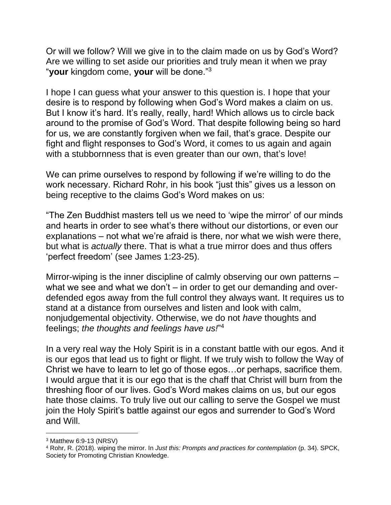Or will we follow? Will we give in to the claim made on us by God's Word? Are we willing to set aside our priorities and truly mean it when we pray "**your** kingdom come, **your** will be done."<sup>3</sup>

I hope I can guess what your answer to this question is. I hope that your desire is to respond by following when God's Word makes a claim on us. But I know it's hard. It's really, really, hard! Which allows us to circle back around to the promise of God's Word. That despite following being so hard for us, we are constantly forgiven when we fail, that's grace. Despite our fight and flight responses to God's Word, it comes to us again and again with a stubbornness that is even greater than our own, that's love!

We can prime ourselves to respond by following if we're willing to do the work necessary. Richard Rohr, in his book "just this" gives us a lesson on being receptive to the claims God's Word makes on us:

"The Zen Buddhist masters tell us we need to 'wipe the mirror' of our minds and hearts in order to see what's there without our distortions, or even our explanations – not what we're afraid is there, nor what we wish were there, but what is *actually* there. That is what a true mirror does and thus offers 'perfect freedom' (see James 1:23-25).

Mirror-wiping is the inner discipline of calmly observing our own patterns – what we see and what we don't – in order to get our demanding and overdefended egos away from the full control they always want. It requires us to stand at a distance from ourselves and listen and look with calm, nonjudgemental objectivity. Otherwise, we do not *have* thoughts and feelings; *the thoughts and feelings have us!*" 4

In a very real way the Holy Spirit is in a constant battle with our egos. And it is our egos that lead us to fight or flight. If we truly wish to follow the Way of Christ we have to learn to let go of those egos…or perhaps, sacrifice them. I would argue that it is our ego that is the chaff that Christ will burn from the threshing floor of our lives. God's Word makes claims on us, but our egos hate those claims. To truly live out our calling to serve the Gospel we must join the Holy Spirit's battle against our egos and surrender to God's Word and Will.

<sup>3</sup> Matthew 6:9-13 (NRSV)

<sup>4</sup> Rohr, R. (2018). wiping the mirror. In *Just this: Prompts and practices for contemplation* (p. 34). SPCK, Society for Promoting Christian Knowledge.